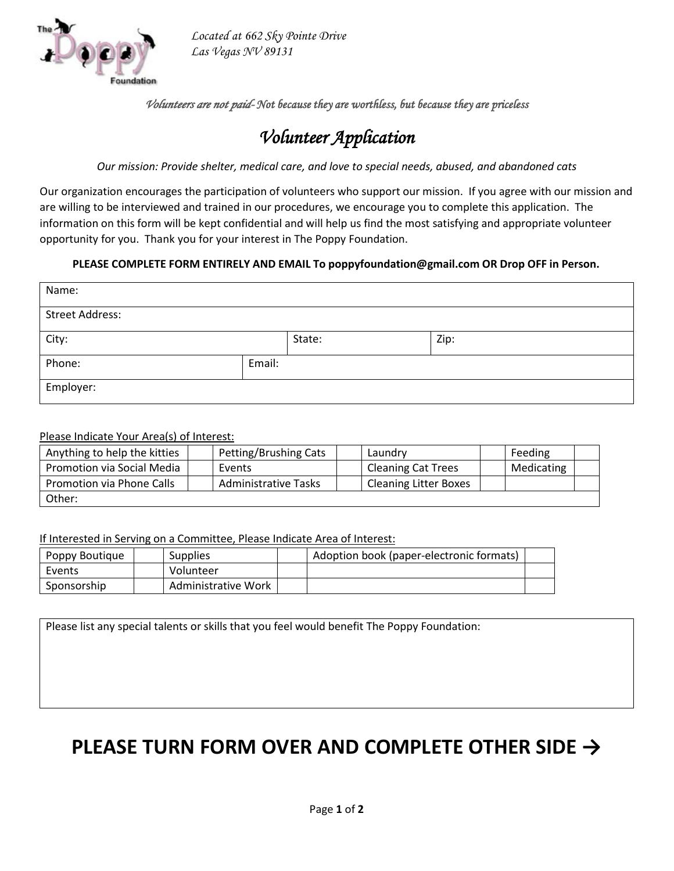

*Located at 662 Sky Pointe Drive Las Vegas NV 89131*

*Volunteers are not paid- Not because they are worthless, but because they are priceless* 

# *Volunteer Application*

*Our mission: Provide shelter, medical care, and love to special needs, abused, and abandoned cats*

Our organization encourages the participation of volunteers who support our mission. If you agree with our mission and are willing to be interviewed and trained in our procedures, we encourage you to complete this application. The information on this form will be kept confidential and will help us find the most satisfying and appropriate volunteer opportunity for you. Thank you for your interest in The Poppy Foundation.

### **PLEASE COMPLETE FORM ENTIRELY AND EMAIL To poppyfoundation@gmail.com OR Drop OFF in Person.**

| Name:                  |        |        |      |  |  |
|------------------------|--------|--------|------|--|--|
| <b>Street Address:</b> |        |        |      |  |  |
| City:                  |        | State: | Zip: |  |  |
| Phone:                 | Email: |        |      |  |  |
| Employer:              |        |        |      |  |  |

#### Please Indicate Your Area(s) of Interest:

| Anything to help the kitties | Petting/Brushing Cats       | Laundry                      | Feeding    |
|------------------------------|-----------------------------|------------------------------|------------|
| Promotion via Social Media   | Events                      | <b>Cleaning Cat Trees</b>    | Medicating |
| Promotion via Phone Calls    | <b>Administrative Tasks</b> | <b>Cleaning Litter Boxes</b> |            |
| Other:                       |                             |                              |            |

If Interested in Serving on a Committee, Please Indicate Area of Interest:

| Poppy Boutique | <b>Supplies</b>     | Adoption book (paper-electronic formats) |  |
|----------------|---------------------|------------------------------------------|--|
| Events         | Volunteer           |                                          |  |
| Sponsorship    | Administrative Work |                                          |  |

Please list any special talents or skills that you feel would benefit The Poppy Foundation:

# **PLEASE TURN FORM OVER AND COMPLETE OTHER SIDE →**